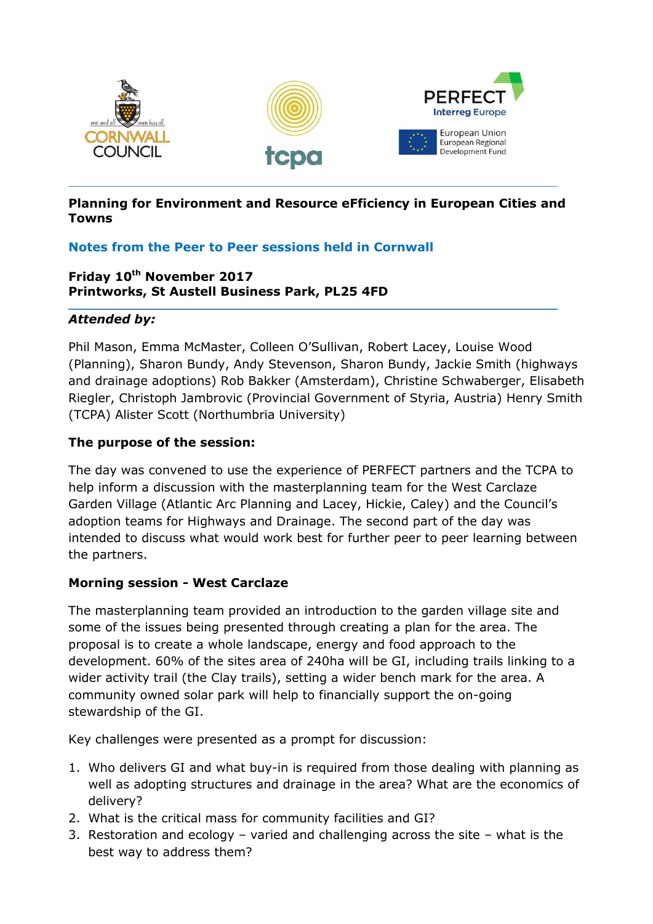

### **Planning for Environment and Resource eFficiency in European Cities and Towns**

## **Notes from the Peer to Peer sessions held in Cornwall**

## **Friday 10th November 2017 Printworks, St Austell Business Park, PL25 4FD**

### *Attended by:*

Phil Mason, Emma McMaster, Colleen O'Sullivan, Robert Lacey, Louise Wood (Planning), Sharon Bundy, Andy Stevenson, Sharon Bundy, Jackie Smith (highways and drainage adoptions) Rob Bakker (Amsterdam), Christine Schwaberger, Elisabeth Riegler, Christoph Jambrovic (Provincial Government of Styria, Austria) Henry Smith (TCPA) Alister Scott (Northumbria University)

### **The purpose of the session:**

The day was convened to use the experience of PERFECT partners and the TCPA to help inform a discussion with the masterplanning team for the West Carclaze Garden Village (Atlantic Arc Planning and Lacey, Hickie, Caley) and the Council's adoption teams for Highways and Drainage. The second part of the day was intended to discuss what would work best for further peer to peer learning between the partners.

## **Morning session - West Carclaze**

The masterplanning team provided an introduction to the garden village site and some of the issues being presented through creating a plan for the area. The proposal is to create a whole landscape, energy and food approach to the development. 60% of the sites area of 240ha will be GI, including trails linking to a wider activity trail (the Clay trails), setting a wider bench mark for the area. A community owned solar park will help to financially support the on-going stewardship of the GI.

Key challenges were presented as a prompt for discussion:

- 1. Who delivers GI and what buy-in is required from those dealing with planning as well as adopting structures and drainage in the area? What are the economics of delivery?
- 2. What is the critical mass for community facilities and GI?
- 3. Restoration and ecology varied and challenging across the site what is the best way to address them?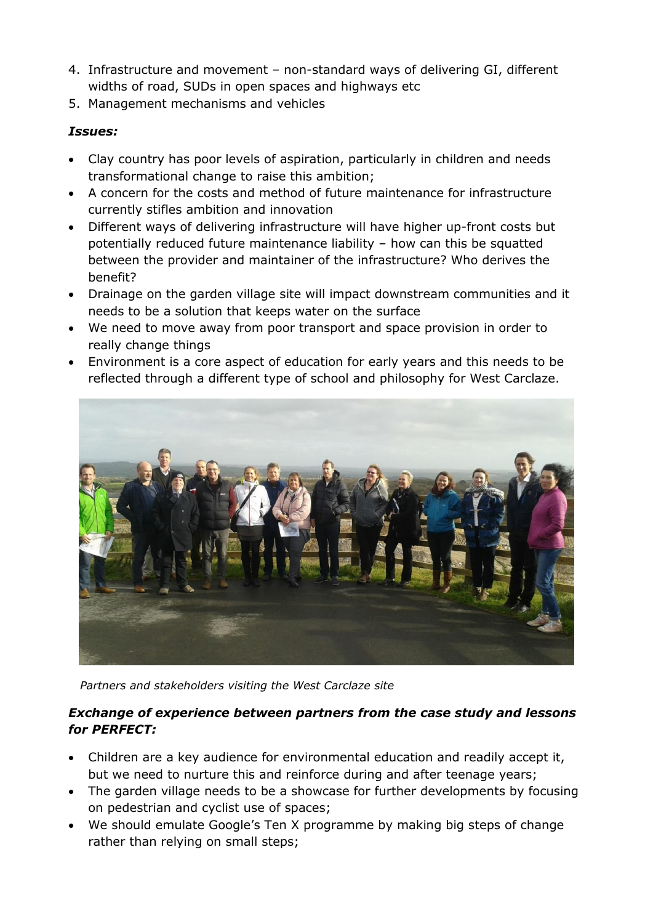- 4. Infrastructure and movement non-standard ways of delivering GI, different widths of road, SUDs in open spaces and highways etc
- 5. Management mechanisms and vehicles

## *Issues:*

- Clay country has poor levels of aspiration, particularly in children and needs transformational change to raise this ambition;
- A concern for the costs and method of future maintenance for infrastructure currently stifles ambition and innovation
- Different ways of delivering infrastructure will have higher up-front costs but potentially reduced future maintenance liability – how can this be squatted between the provider and maintainer of the infrastructure? Who derives the benefit?
- Drainage on the garden village site will impact downstream communities and it needs to be a solution that keeps water on the surface
- We need to move away from poor transport and space provision in order to really change things
- Environment is a core aspect of education for early years and this needs to be reflected through a different type of school and philosophy for West Carclaze.



*Partners and stakeholders visiting the West Carclaze site*

## *Exchange of experience between partners from the case study and lessons for PERFECT:*

- Children are a key audience for environmental education and readily accept it, but we need to nurture this and reinforce during and after teenage years;
- The garden village needs to be a showcase for further developments by focusing on pedestrian and cyclist use of spaces;
- We should emulate Google's Ten X programme by making big steps of change rather than relying on small steps;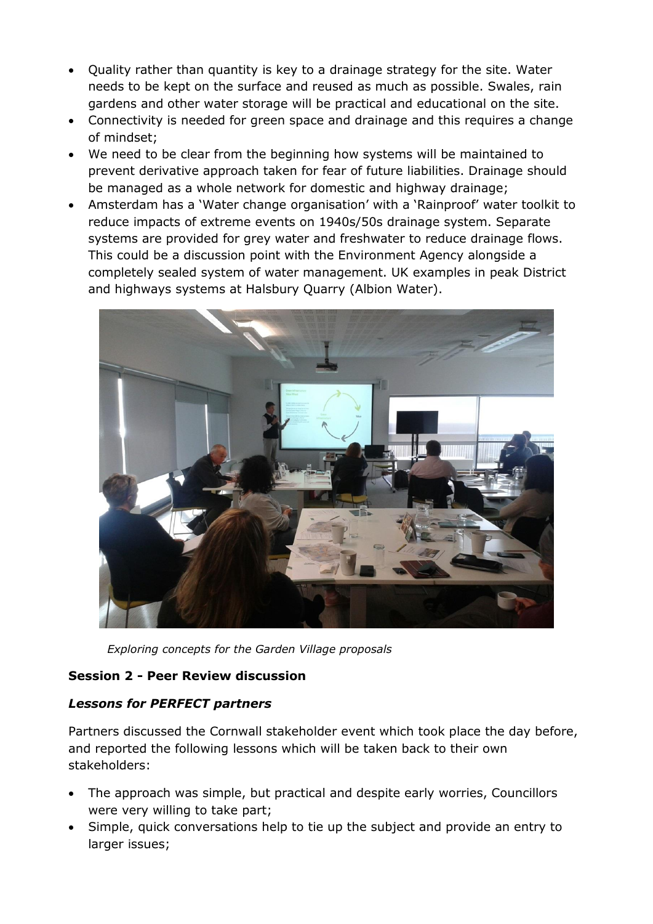- Quality rather than quantity is key to a drainage strategy for the site. Water needs to be kept on the surface and reused as much as possible. Swales, rain gardens and other water storage will be practical and educational on the site.
- Connectivity is needed for green space and drainage and this requires a change of mindset;
- We need to be clear from the beginning how systems will be maintained to prevent derivative approach taken for fear of future liabilities. Drainage should be managed as a whole network for domestic and highway drainage;
- Amsterdam has a 'Water change organisation' with a 'Rainproof' water toolkit to reduce impacts of extreme events on 1940s/50s drainage system. Separate systems are provided for grey water and freshwater to reduce drainage flows. This could be a discussion point with the Environment Agency alongside a completely sealed system of water management. UK examples in peak District and highways systems at Halsbury Quarry (Albion Water).



*Exploring concepts for the Garden Village proposals*

## **Session 2 - Peer Review discussion**

## *Lessons for PERFECT partners*

Partners discussed the Cornwall stakeholder event which took place the day before, and reported the following lessons which will be taken back to their own stakeholders:

- The approach was simple, but practical and despite early worries, Councillors were very willing to take part;
- Simple, quick conversations help to tie up the subject and provide an entry to larger issues;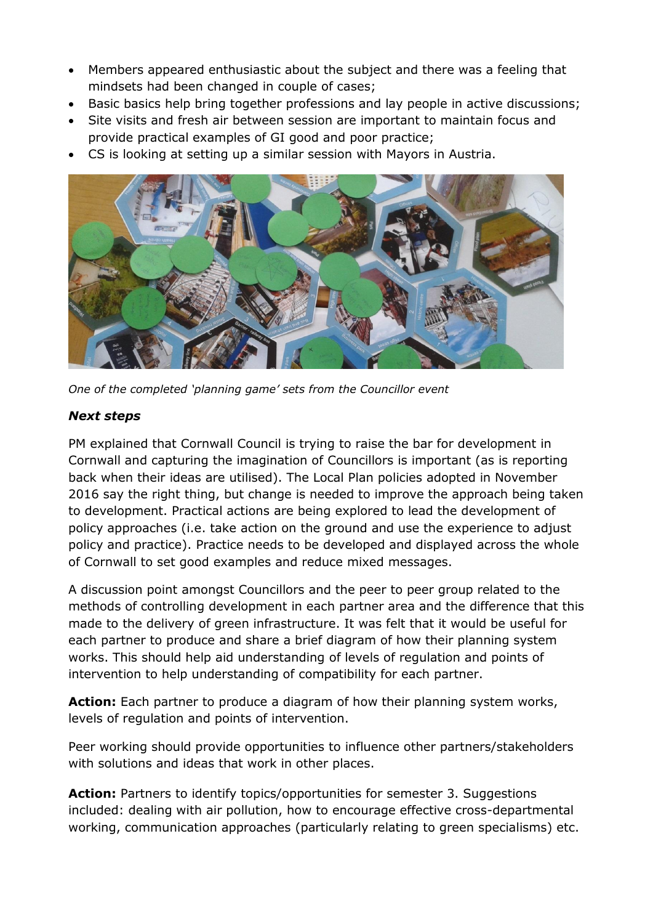- Members appeared enthusiastic about the subject and there was a feeling that mindsets had been changed in couple of cases;
- Basic basics help bring together professions and lay people in active discussions;
- Site visits and fresh air between session are important to maintain focus and provide practical examples of GI good and poor practice;
- CS is looking at setting up a similar session with Mayors in Austria.



*One of the completed 'planning game' sets from the Councillor event*

# *Next steps*

PM explained that Cornwall Council is trying to raise the bar for development in Cornwall and capturing the imagination of Councillors is important (as is reporting back when their ideas are utilised). The Local Plan policies adopted in November 2016 say the right thing, but change is needed to improve the approach being taken to development. Practical actions are being explored to lead the development of policy approaches (i.e. take action on the ground and use the experience to adjust policy and practice). Practice needs to be developed and displayed across the whole of Cornwall to set good examples and reduce mixed messages.

A discussion point amongst Councillors and the peer to peer group related to the methods of controlling development in each partner area and the difference that this made to the delivery of green infrastructure. It was felt that it would be useful for each partner to produce and share a brief diagram of how their planning system works. This should help aid understanding of levels of regulation and points of intervention to help understanding of compatibility for each partner.

**Action:** Each partner to produce a diagram of how their planning system works, levels of regulation and points of intervention.

Peer working should provide opportunities to influence other partners/stakeholders with solutions and ideas that work in other places.

**Action:** Partners to identify topics/opportunities for semester 3. Suggestions included: dealing with air pollution, how to encourage effective cross-departmental working, communication approaches (particularly relating to green specialisms) etc.